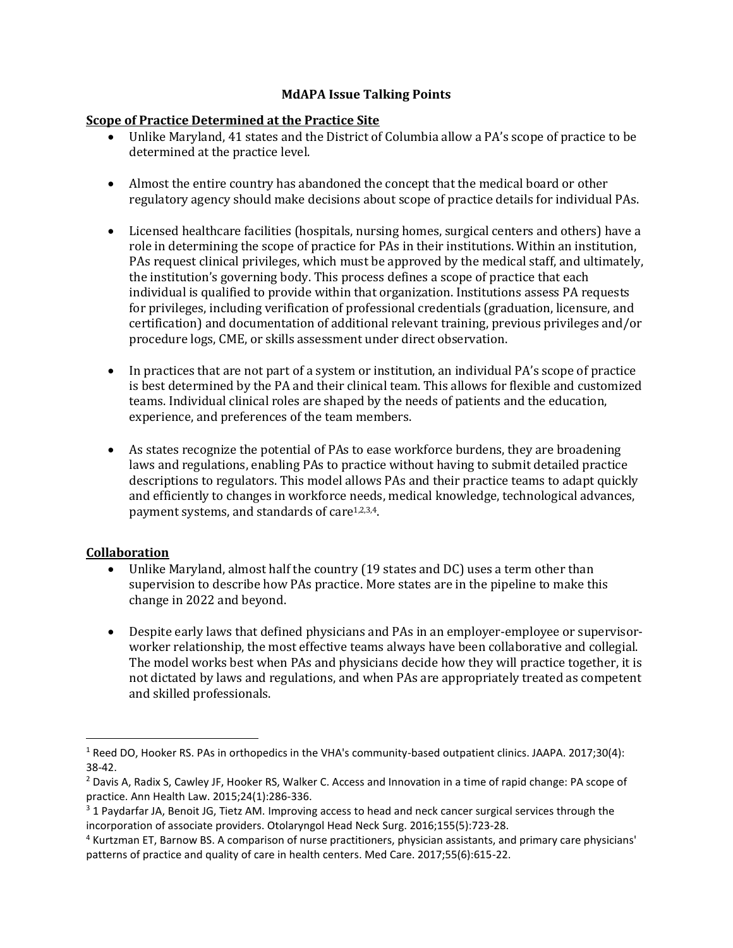## **MdAPA Issue Talking Points**

## **Scope of Practice Determined at the Practice Site**

- Unlike Maryland, 41 states and the District of Columbia allow a PA's scope of practice to be determined at the practice level.
- Almost the entire country has abandoned the concept that the medical board or other regulatory agency should make decisions about scope of practice details for individual PAs.
- Licensed healthcare facilities (hospitals, nursing homes, surgical centers and others) have a role in determining the scope of practice for PAs in their institutions. Within an institution, PAs request clinical privileges, which must be approved by the medical staff, and ultimately, the institution's governing body. This process defines a scope of practice that each individual is qualified to provide within that organization. Institutions assess PA requests for privileges, including verification of professional credentials (graduation, licensure, and certification) and documentation of additional relevant training, previous privileges and/or procedure logs, CME, or skills assessment under direct observation.
- In practices that are not part of a system or institution, an individual PA's scope of practice is best determined by the PA and their clinical team. This allows for flexible and customized teams. Individual clinical roles are shaped by the needs of patients and the education, experience, and preferences of the team members.
- As states recognize the potential of PAs to ease workforce burdens, they are broadening laws and regulations, enabling PAs to practice without having to submit detailed practice descriptions to regulators. This model allows PAs and their practice teams to adapt quickly and efficiently to changes in workforce needs, medical knowledge, technological advances, payment systems, and standards of care<sup>1,2,3,4</sup>.

# **Collaboration**

- Unlike Maryland, almost half the country (19 states and DC) uses a term other than supervision to describe how PAs practice. More states are in the pipeline to make this change in 2022 and beyond.
- Despite early laws that defined physicians and PAs in an employer-employee or supervisorworker relationship, the most effective teams always have been collaborative and collegial. The model works best when PAs and physicians decide how they will practice together, it is not dictated by laws and regulations, and when PAs are appropriately treated as competent and skilled professionals.

<sup>1</sup> Reed DO, Hooker RS. PAs in orthopedics in the VHA's community-based outpatient clinics. JAAPA. 2017;30(4): 38-42.

<sup>&</sup>lt;sup>2</sup> Davis A, Radix S, Cawley JF, Hooker RS, Walker C. Access and Innovation in a time of rapid change: PA scope of practice. Ann Health Law. 2015;24(1):286-336.

<sup>&</sup>lt;sup>3</sup> 1 Paydarfar JA, Benoit JG, Tietz AM. Improving access to head and neck cancer surgical services through the incorporation of associate providers. Otolaryngol Head Neck Surg. 2016;155(5):723-28.

<sup>4</sup> Kurtzman ET, Barnow BS. A comparison of nurse practitioners, physician assistants, and primary care physicians' patterns of practice and quality of care in health centers. Med Care. 2017;55(6):615-22.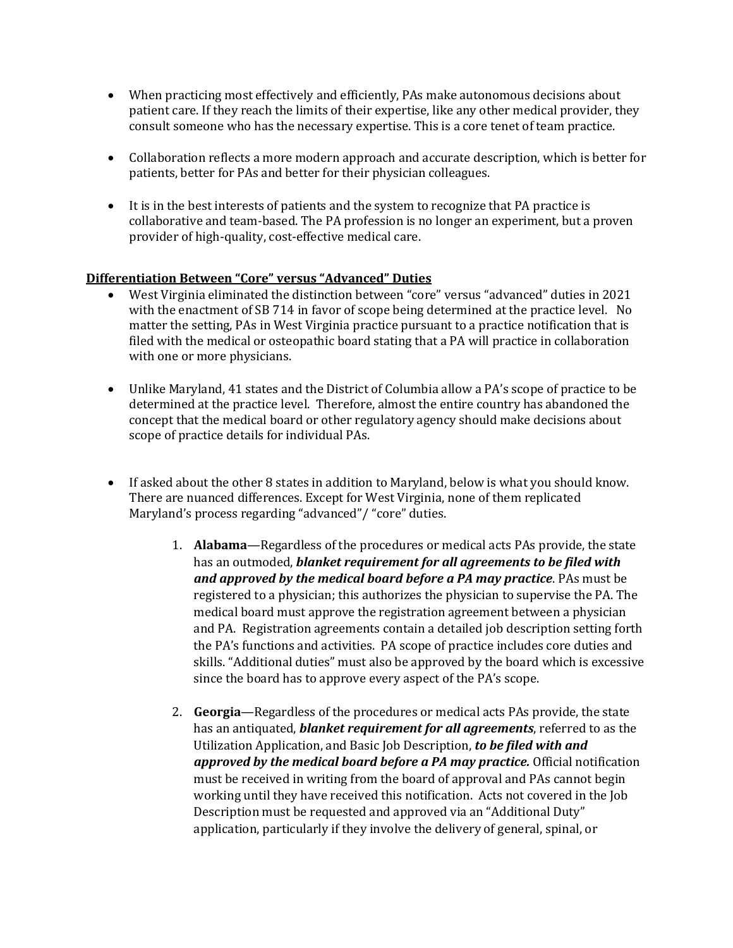- When practicing most effectively and efficiently, PAs make autonomous decisions about patient care. If they reach the limits of their expertise, like any other medical provider, they consult someone who has the necessary expertise. This is a core tenet of team practice.
- Collaboration reflects a more modern approach and accurate description, which is better for patients, better for PAs and better for their physician colleagues.
- It is in the best interests of patients and the system to recognize that PA practice is collaborative and team-based. The PA profession is no longer an experiment, but a proven provider of high-quality, cost-effective medical care.

# **Differentiation Between "Core" versus "Advanced" Duties**

- West Virginia eliminated the distinction between "core" versus "advanced" duties in 2021 with the enactment of SB 714 in favor of scope being determined at the practice level. No matter the setting, PAs in West Virginia practice pursuant to a practice notification that is filed with the medical or osteopathic board stating that a PA will practice in collaboration with one or more physicians.
- Unlike Maryland, 41 states and the District of Columbia allow a PA's scope of practice to be determined at the practice level. Therefore, almost the entire country has abandoned the concept that the medical board or other regulatory agency should make decisions about scope of practice details for individual PAs.
- If asked about the other 8 states in addition to Maryland, below is what you should know. There are nuanced differences. Except for West Virginia, none of them replicated Maryland's process regarding "advanced"/ "core" duties.
	- 1. **Alabama**—Regardless of the procedures or medical acts PAs provide, the state has an outmoded, *blanket requirement for all agreements to be filed with and approved by the medical board before a PA may practice*. PAs must be registered to a physician; this authorizes the physician to supervise the PA. The medical board must approve the registration agreement between a physician and PA. Registration agreements contain a detailed job description setting forth the PA's functions and activities. PA scope of practice includes core duties and skills. "Additional duties" must also be approved by the board which is excessive since the board has to approve every aspect of the PA's scope.
	- 2. **Georgia**—Regardless of the procedures or medical acts PAs provide, the state has an antiquated, *blanket requirement for all agreements*, referred to as the Utilization Application, and Basic Job Description, *to be filed with and approved by the medical board before a PA may practice.* Official notification must be received in writing from the board of approval and PAs cannot begin working until they have received this notification. Acts not covered in the Job Description must be requested and approved via an "Additional Duty" application, particularly if they involve the delivery of general, spinal, or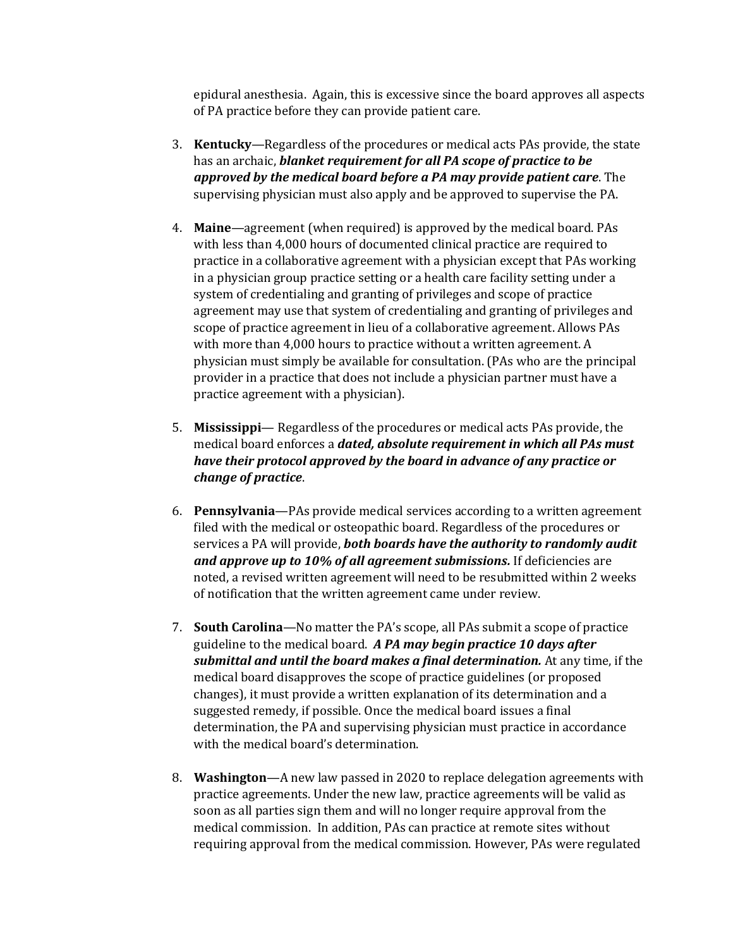epidural anesthesia. Again, this is excessive since the board approves all aspects of PA practice before they can provide patient care.

- 3. **Kentucky**—Regardless of the procedures or medical acts PAs provide, the state has an archaic, *blanket requirement for all PA scope of practice to be approved by the medical board before a PA may provide patient care*. The supervising physician must also apply and be approved to supervise the PA.
- 4. **Maine**—agreement (when required) is approved by the medical board. PAs with less than 4,000 hours of documented clinical practice are required to practice in a collaborative agreement with a physician except that PAs working in a physician group practice setting or a health care facility setting under a system of credentialing and granting of privileges and scope of practice agreement may use that system of credentialing and granting of privileges and scope of practice agreement in lieu of a collaborative agreement. Allows PAs with more than 4,000 hours to practice without a written agreement. A physician must simply be available for consultation. (PAs who are the principal provider in a practice that does not include a physician partner must have a practice agreement with a physician).
- 5. **Mississippi** Regardless of the procedures or medical acts PAs provide, the medical board enforces a *dated, absolute requirement in which all PAs must have their protocol approved by the board in advance of any practice or change of practice*.
- 6. **Pennsylvania**—PAs provide medical services according to a written agreement filed with the medical or osteopathic board. Regardless of the procedures or services a PA will provide, *both boards have the authority to randomly audit and approve up to 10% of all agreement submissions.* If deficiencies are noted, a revised written agreement will need to be resubmitted within 2 weeks of notification that the written agreement came under review.
- 7. **South Carolina**—No matter the PA's scope, all PAs submit a scope of practice guideline to the medical board. *A PA may begin practice 10 days after submittal and until the board makes a final determination.* At any time, if the medical board disapproves the scope of practice guidelines (or proposed changes), it must provide a written explanation of its determination and a suggested remedy, if possible. Once the medical board issues a final determination, the PA and supervising physician must practice in accordance with the medical board's determination.
- 8. **Washington**—A new law passed in 2020 to replace delegation agreements with practice agreements. Under the new law, practice agreements will be valid as soon as all parties sign them and will no longer require approval from the medical commission. In addition, PAs can practice at remote sites without requiring approval from the medical commission. However, PAs were regulated